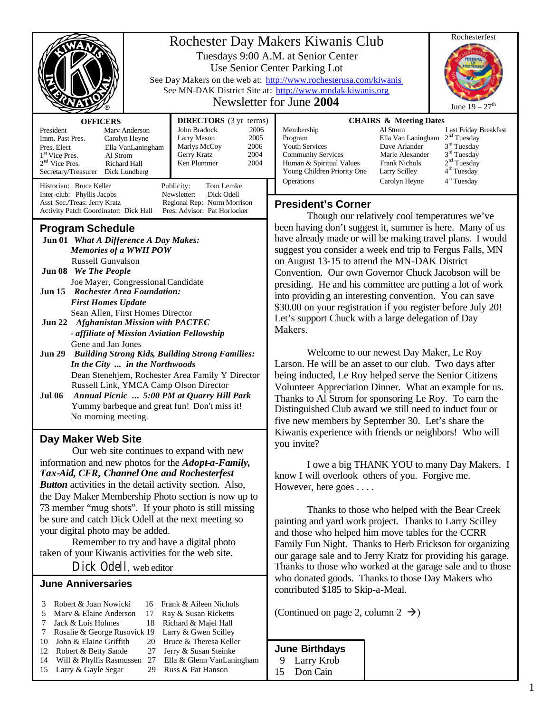|                                                                                                                                                                                                                                                                                                                                                                                                                                                                                                                                                                                       |                                                                                                    |                                                                                                                                                                                                     | Rochesterfest<br>Rochester Day Makers Kiwanis Club                                                                                                                                                                                                                                                                                                                                                                                                                                                                                                |  |
|---------------------------------------------------------------------------------------------------------------------------------------------------------------------------------------------------------------------------------------------------------------------------------------------------------------------------------------------------------------------------------------------------------------------------------------------------------------------------------------------------------------------------------------------------------------------------------------|----------------------------------------------------------------------------------------------------|-----------------------------------------------------------------------------------------------------------------------------------------------------------------------------------------------------|---------------------------------------------------------------------------------------------------------------------------------------------------------------------------------------------------------------------------------------------------------------------------------------------------------------------------------------------------------------------------------------------------------------------------------------------------------------------------------------------------------------------------------------------------|--|
|                                                                                                                                                                                                                                                                                                                                                                                                                                                                                                                                                                                       |                                                                                                    |                                                                                                                                                                                                     | Tuesdays 9:00 A.M. at Senior Center<br>Use Senior Center Parking Lot<br>See Day Makers on the web at: http://www.rochesterusa.com/kiwanis<br>See MN-DAK District Site at: http://www.mndak-kiwanis.org<br>Newsletter for June 2004<br>June $19 - 27$ <sup>th</sup>                                                                                                                                                                                                                                                                                |  |
| <b>OFFICERS</b><br>President<br>Imm. Past Pres.<br>Pres. Elect<br>1 <sup>st</sup> Vice Pres.<br>Al Strom<br>2 <sup>nd</sup> Vice Pres.<br>Secretary/Treasurer<br>Historian: Bruce Keller                                                                                                                                                                                                                                                                                                                                                                                              | Mary Anderson<br>Carolyn Heyne<br>Ella VanLaningham<br>Richard Hall<br>Dick Lundberg<br>Publicity: | <b>DIRECTORS</b> (3 yr terms)<br>John Bradock<br>2006<br>Larry Mason<br>2005<br>Marlys McCoy<br>2006<br>Gerry Kratz<br>2004<br>Ken Plummer<br>2004<br>Tom Lemke                                     | <b>CHAIRS &amp; Meeting Dates</b><br>Al Strom<br>Membership<br>Last Friday Breakfast<br>2 <sup>nd</sup> Tuesday<br>Program<br>Ella Van Laningham<br>3 <sup>nd</sup> Tuesday<br><b>Youth Services</b><br>Dave Arlander<br>3 <sup>rd</sup> Tuesday<br><b>Community Services</b><br>Marie Alexander<br>2 <sup>nd</sup> Tuesday<br>Human & Spiritual Values<br><b>Frank Nichols</b><br>4 <sup>th</sup> Tuesday<br>Young Children Priority One<br>Larry Scilley<br>4 <sup>th</sup> Tuesday<br>Operations<br>Carolyn Heyne                              |  |
| Newsletter:<br>Dick Odell<br>Inter-club: Phyllis Jacobs<br>Regional Rep: Norm Morrison<br>Asst Sec./Treas: Jerry Kratz<br>Pres. Advisor: Pat Horlocker<br>Activity Patch Coordinator: Dick Hall                                                                                                                                                                                                                                                                                                                                                                                       |                                                                                                    |                                                                                                                                                                                                     | <b>President's Corner</b><br>Though our relatively cool temperatures we've                                                                                                                                                                                                                                                                                                                                                                                                                                                                        |  |
| <b>Program Schedule</b><br>Jun 01 What A Difference A Day Makes:<br><b>Memories of a WWII POW</b><br><b>Russell Gunvalson</b><br>Jun 08 We The People<br>Joe Mayer, Congressional Candidate<br>Jun 15 Rochester Area Foundation:<br><b>First Homes Update</b><br>Sean Allen, First Homes Director<br>Jun 22 Afghanistan Mission with PACTEC<br>- affiliate of Mission Aviation Fellowship                                                                                                                                                                                             |                                                                                                    |                                                                                                                                                                                                     | been having don't suggest it, summer is here. Many of us<br>have already made or will be making travel plans. I would<br>suggest you consider a week end trip to Fergus Falls, MN<br>on August 13-15 to attend the MN-DAK District<br>Convention. Our own Governor Chuck Jacobson will be<br>presiding. He and his committee are putting a lot of work<br>into providing an interesting convention. You can save<br>\$30.00 on your registration if you register before July 20!<br>Let's support Chuck with a large delegation of Day<br>Makers. |  |
| Gene and Jan Jones<br><b>Jun 29</b><br><b>Building Strong Kids, Building Strong Families:</b><br>In the City  in the Northwoods<br>Dean Stenehjem, Rochester Area Family Y Director<br>Russell Link, YMCA Camp Olson Director<br>Annual Picnic  5:00 PM at Quarry Hill Park<br><b>Jul 06</b><br>Yummy barbeque and great fun! Don't miss it!<br>No morning meeting.                                                                                                                                                                                                                   |                                                                                                    |                                                                                                                                                                                                     | Welcome to our newest Day Maker, Le Roy<br>Larson. He will be an asset to our club. Two days after<br>being inducted, Le Roy helped serve the Senior Citizens<br>Volunteer Appreciation Dinner. What an example for us.<br>Thanks to Al Strom for sponsoring Le Roy. To earn the<br>Distinguished Club award we still need to induct four or<br>five new members by September 30. Let's share the                                                                                                                                                 |  |
| Day Maker Web Site<br>Our web site continues to expand with new<br>information and new photos for the <i>Adopt-a-Family</i> ,<br>Tax-Aid, CFR, Channel One and Rochesterfest<br><b>Button</b> activities in the detail activity section. Also,<br>the Day Maker Membership Photo section is now up to<br>73 member "mug shots". If your photo is still missing<br>be sure and catch Dick Odell at the next meeting so<br>your digital photo may be added.<br>Remember to try and have a digital photo<br>taken of your Kiwanis activities for the web site.<br>Dick Odell, web editor |                                                                                                    |                                                                                                                                                                                                     | Kiwanis experience with friends or neighbors! Who will<br>you invite?<br>I owe a big THANK YOU to many Day Makers. I<br>know I will overlook others of you. Forgive me.<br>However, here goes                                                                                                                                                                                                                                                                                                                                                     |  |
|                                                                                                                                                                                                                                                                                                                                                                                                                                                                                                                                                                                       |                                                                                                    |                                                                                                                                                                                                     | Thanks to those who helped with the Bear Creek<br>painting and yard work project. Thanks to Larry Scilley<br>and those who helped him move tables for the CCRR<br>Family Fun Night. Thanks to Herb Erickson for organizing<br>our garage sale and to Jerry Kratz for providing his garage.<br>Thanks to those who worked at the garage sale and to those                                                                                                                                                                                          |  |
| <b>June Anniversaries</b>                                                                                                                                                                                                                                                                                                                                                                                                                                                                                                                                                             |                                                                                                    |                                                                                                                                                                                                     | who donated goods. Thanks to those Day Makers who<br>contributed \$185 to Skip-a-Meal.                                                                                                                                                                                                                                                                                                                                                                                                                                                            |  |
| Robert & Joan Nowicki<br>3<br>Mary & Elaine Anderson<br>5<br>Jack & Lois Holmes<br>7<br>Rosalie & George Rusovick 19<br>7<br>John & Elaine Griffith<br>10<br>Robert & Betty Sande<br>12<br>Will & Phyllis Rasmussen 27<br>14<br>Larry & Gayle Segar<br>15                                                                                                                                                                                                                                                                                                                             | 16<br>17<br>18<br>20<br>27<br>29                                                                   | Frank & Aileen Nichols<br>Ray & Susan Ricketts<br>Richard & Majel Hall<br>Larry & Gwen Scilley<br>Bruce & Theresa Keller<br>Jerry & Susan Steinke<br>Ella & Glenn VanLaningham<br>Russ & Pat Hanson | (Continued on page 2, column 2 $\rightarrow$ )<br><b>June Birthdays</b><br>Larry Krob<br>9<br>15<br>Don Cain                                                                                                                                                                                                                                                                                                                                                                                                                                      |  |

1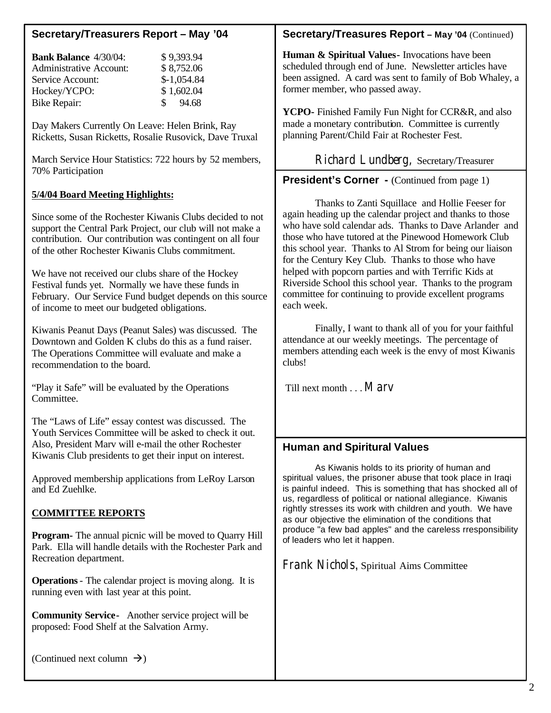# **Secretary/Treasurers Report – May '04**

| <b>Bank Balance 4/30/04:</b>   | \$9,393.94             |
|--------------------------------|------------------------|
| <b>Administrative Account:</b> | \$8,752.06             |
| Service Account:               | $$-1,054.84$           |
| Hockey/YCPO:                   | \$1,602.04             |
| Bike Repair:                   | 94.68<br>$\mathcal{S}$ |
|                                |                        |

Day Makers Currently On Leave: Helen Brink, Ray Ricketts, Susan Ricketts, Rosalie Rusovick, Dave Truxal

March Service Hour Statistics: 722 hours by 52 members, 70% Participation

#### **5/4/04 Board Meeting Highlights:**

Since some of the Rochester Kiwanis Clubs decided to not support the Central Park Project, our club will not make a contribution. Our contribution was contingent on all four of the other Rochester Kiwanis Clubs commitment.

We have not received our clubs share of the Hockey Festival funds yet. Normally we have these funds in February. Our Service Fund budget depends on this source of income to meet our budgeted obligations.

Kiwanis Peanut Days (Peanut Sales) was discussed. The Downtown and Golden K clubs do this as a fund raiser. The Operations Committee will evaluate and make a recommendation to the board.

"Play it Safe" will be evaluated by the Operations Committee.

The "Laws of Life" essay contest was discussed. The Youth Services Committee will be asked to check it out. Also, President Marv will e-mail the other Rochester Kiwanis Club presidents to get their input on interest.

Approved membership applications from LeRoy Larson and Ed Zuehlke.

# **COMMITTEE REPORTS**

**Program-** The annual picnic will be moved to Quarry Hill Park. Ella will handle details with the Rochester Park and Recreation department.

**Operations**- The calendar project is moving along. It is running even with last year at this point.

**Community Service-** Another service project will be proposed: Food Shelf at the Salvation Army.

## **Secretary/Treasures Report – May '04** (Continued)

**Human & Spiritual Values-** Invocations have been scheduled through end of June. Newsletter articles have been assigned. A card was sent to family of Bob Whaley, a former member, who passed away.

**YCPO-** Finished Family Fun Night for CCR&R, and also made a monetary contribution. Committee is currently planning Parent/Child Fair at Rochester Fest.

Richard Lundberg, Secretary/Treasurer

**President's Corner -** (Continued from page 1)

Thanks to Zanti Squillace and Hollie Feeser for again heading up the calendar project and thanks to those who have sold calendar ads. Thanks to Dave Arlander and those who have tutored at the Pinewood Homework Club this school year. Thanks to Al Strom for being our liaison for the Century Key Club. Thanks to those who have helped with popcorn parties and with Terrific Kids at Riverside School this school year. Thanks to the program committee for continuing to provide excellent programs each week.

Finally, I want to thank all of you for your faithful attendance at our weekly meetings. The percentage of members attending each week is the envy of most Kiwanis clubs!

Till next month . . .Marv

# **Human and Spiritural Values**

As Kiwanis holds to its priority of human and spiritual values, the prisoner abuse that took place in Iraqi is painful indeed. This is something that has shocked all of us, regardless of political or national allegiance. Kiwanis rightly stresses its work with children and youth. We have as our objective the elimination of the conditions that produce "a few bad apples" and the careless rresponsibility of leaders who let it happen.

Frank Nichols, Spiritual Aims Committee

(Continued next column  $\rightarrow$ )